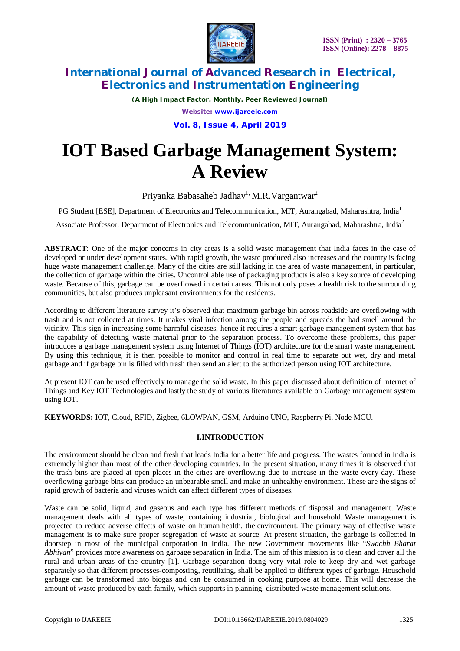

*(A High Impact Factor, Monthly, Peer Reviewed Journal) Website: [www.ijareeie.com](http://www.ijareeie.com)* **Vol. 8, Issue 4, April 2019**

# **IOT Based Garbage Management System: A Review**

Priyanka Babasaheb Jadhav<sup>1,</sup> M.R.Vargantwar<sup>2</sup>

PG Student [ESE], Department of Electronics and Telecommunication, MIT, Aurangabad, Maharashtra, India<sup>1</sup>

Associate Professor, Department of Electronics and Telecommunication, MIT, Aurangabad, Maharashtra, India<sup>2</sup>

**ABSTRACT**: One of the major concerns in city areas is a solid waste management that India faces in the case of developed or under development states. With rapid growth, the waste produced also increases and the country is facing huge waste management challenge. Many of the cities are still lacking in the area of waste management, in particular, the collection of garbage within the cities. Uncontrollable use of packaging products is also a key source of developing waste. Because of this, garbage can be overflowed in certain areas. This not only poses a health risk to the surrounding communities, but also produces unpleasant environments for the residents.

According to different literature survey it's observed that maximum garbage bin across roadside are overflowing with trash and is not collected at times. It makes viral infection among the people and spreads the bad smell around the vicinity. This sign in increasing some harmful diseases, hence it requires a smart garbage management system that has the capability of detecting waste material prior to the separation process. To overcome these problems, this paper introduces a garbage management system using Internet of Things (IOT) architecture for the smart waste management. By using this technique, it is then possible to monitor and control in real time to separate out wet, dry and metal garbage and if garbage bin is filled with trash then send an alert to the authorized person using IOT architecture.

At present IOT can be used effectively to manage the solid waste. In this paper discussed about definition of Internet of Things and Key IOT Technologies and lastly the study of various literatures available on Garbage management system using IOT.

**KEYWORDS:** IOT, Cloud, RFID, Zigbee, 6LOWPAN, GSM, Arduino UNO, Raspberry Pi, Node MCU.

### **I.INTRODUCTION**

The environment should be clean and fresh that leads India for a better life and progress. The wastes formed in India is extremely higher than most of the other developing countries. In the present situation, many times it is observed that the trash bins are placed at open places in the cities are overflowing due to increase in the waste every day. These overflowing garbage bins can produce an unbearable smell and make an unhealthy environment. These are the signs of rapid growth of bacteria and viruses which can affect different types of diseases.

Waste can be solid, liquid, and gaseous and each type has different methods of disposal and management. Waste management deals with all types of waste, containing industrial, biological and household. Waste management is projected to reduce adverse effects of waste on human health, the environment. The primary way of effective waste management is to make sure proper segregation of waste at source. At present situation, the garbage is collected in doorstep in most of the municipal corporation in India. The new Government movements like "*Swachh Bharat Abhiyan*" provides more awareness on garbage separation in India. The aim of this mission is to clean and cover all the rural and urban areas of the country [1]. Garbage separation doing very vital role to keep dry and wet garbage separately so that different processes-composting, reutilizing, shall be applied to different types of garbage. Household garbage can be transformed into biogas and can be consumed in cooking purpose at home. This will decrease the amount of waste produced by each family, which supports in planning, distributed waste management solutions.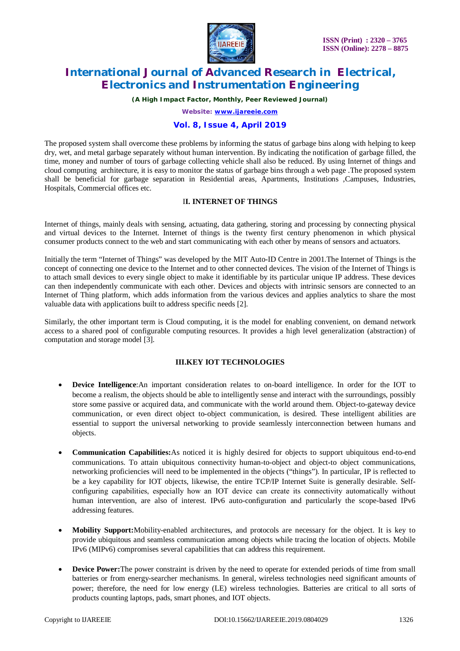

*(A High Impact Factor, Monthly, Peer Reviewed Journal)*

*Website: [www.ijareeie.com](http://www.ijareeie.com)*

### **Vol. 8, Issue 4, April 2019**

The proposed system shall overcome these problems by informing the status of garbage bins along with helping to keep dry, wet, and metal garbage separately without human intervention. By indicating the notification of garbage filled, the time, money and number of tours of garbage collecting vehicle shall also be reduced. By using Internet of things and cloud computing architecture, it is easy to monitor the status of garbage bins through a web page .The proposed system shall be beneficial for garbage separation in Residential areas, Apartments, Institutions ,Campuses, Industries, Hospitals, Commercial offices etc.

### I**I. INTERNET OF THINGS**

Internet of things, mainly deals with sensing, actuating, data gathering, storing and processing by connecting physical and virtual devices to the Internet. Internet of things is the twenty first century phenomenon in which physical consumer products connect to the web and start communicating with each other by means of sensors and actuators.

Initially the term "Internet of Things" was developed by the MIT Auto-ID Centre in 2001.The Internet of Things is the concept of connecting one device to the Internet and to other connected devices. The vision of the Internet of Things is to attach small devices to every single object to make it identifiable by its particular unique IP address. These devices can then independently communicate with each other. Devices and objects with intrinsic sensors are connected to an Internet of Thing platform, which adds information from the various devices and applies analytics to share the most valuable data with applications built to address specific needs [2].

Similarly, the other important term is Cloud computing, it is the model for enabling convenient, on demand network access to a shared pool of configurable computing resources. It provides a high level generalization (abstraction) of computation and storage model [3].

#### **III.KEY IOT TECHNOLOGIES**

- **Device Intelligence**:An important consideration relates to on-board intelligence. In order for the IOT to become a realism, the objects should be able to intelligently sense and interact with the surroundings, possibly store some passive or acquired data, and communicate with the world around them. Object-to-gateway device communication, or even direct object to-object communication, is desired. These intelligent abilities are essential to support the universal networking to provide seamlessly interconnection between humans and objects.
- **Communication Capabilities:**As noticed it is highly desired for objects to support ubiquitous end-to-end communications. To attain ubiquitous connectivity human-to-object and object-to object communications, networking proficiencies will need to be implemented in the objects ("things"). In particular, IP is reflected to be a key capability for IOT objects, likewise, the entire TCP/IP Internet Suite is generally desirable. Selfconfiguring capabilities, especially how an IOT device can create its connectivity automatically without human intervention, are also of interest. IPv6 auto-configuration and particularly the scope-based IPv6 addressing features.
- **Mobility Support:**Mobility-enabled architectures, and protocols are necessary for the object. It is key to provide ubiquitous and seamless communication among objects while tracing the location of objects. Mobile IPv6 (MIPv6) compromises several capabilities that can address this requirement.
- **Device Power:**The power constraint is driven by the need to operate for extended periods of time from small batteries or from energy-searcher mechanisms. In general, wireless technologies need significant amounts of power; therefore, the need for low energy (LE) wireless technologies. Batteries are critical to all sorts of products counting laptops, pads, smart phones, and IOT objects.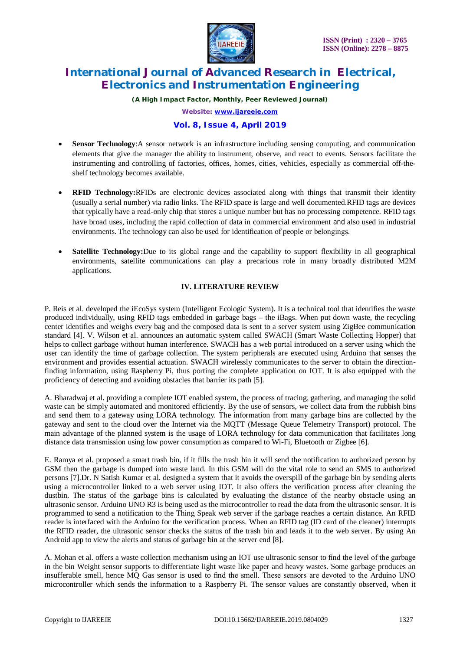

*(A High Impact Factor, Monthly, Peer Reviewed Journal) Website: [www.ijareeie.com](http://www.ijareeie.com)*

### **Vol. 8, Issue 4, April 2019**

- **Sensor Technology**:A sensor network is an infrastructure including sensing computing, and communication elements that give the manager the ability to instrument, observe, and react to events. Sensors facilitate the instrumenting and controlling of factories, offices, homes, cities, vehicles, especially as commercial off-theshelf technology becomes available.
- **RFID Technology:**RFIDs are electronic devices associated along with things that transmit their identity (usually a serial number) via radio links. The RFID space is large and well documented.RFID tags are devices that typically have a read-only chip that stores a unique number but has no processing competence. RFID tags have broad uses, including the rapid collection of data in commercial environment and also used in industrial environments. The technology can also be used for identification of people or belongings.
- **Satellite Technology:** Due to its global range and the capability to support flexibility in all geographical environments, satellite communications can play a precarious role in many broadly distributed M2M applications.

### **IV. LITERATURE REVIEW**

P. Reis et al. developed the iEcoSys system (Intelligent Ecologic System). It is a technical tool that identifies the waste produced individually, using RFID tags embedded in garbage bags – the iBags. When put down waste, the recycling center identifies and weighs every bag and the composed data is sent to a server system using ZigBee communication standard [4]. V. Wilson et al. announces an automatic system called SWACH (Smart Waste Collecting Hopper) that helps to collect garbage without human interference. SWACH has a web portal introduced on a server using which the user can identify the time of garbage collection. The system peripherals are executed using Arduino that senses the environment and provides essential actuation. SWACH wirelessly communicates to the server to obtain the directionfinding information, using Raspberry Pi, thus porting the complete application on IOT. It is also equipped with the proficiency of detecting and avoiding obstacles that barrier its path [5].

A. Bharadwaj et al. providing a complete IOT enabled system, the process of tracing, gathering, and managing the solid waste can be simply automated and monitored efficiently. By the use of sensors, we collect data from the rubbish bins and send them to a gateway using LORA technology. The information from many garbage bins are collected by the gateway and sent to the cloud over the Internet via the MQTT (Message Queue Telemetry Transport) protocol. The main advantage of the planned system is the usage of LORA technology for data communication that facilitates long distance data transmission using low power consumption as compared to Wi-Fi, Bluetooth or Zigbee [6].

E. Ramya et al. proposed a smart trash bin, if it fills the trash bin it will send the notification to authorized person by GSM then the garbage is dumped into waste land. In this GSM will do the vital role to send an SMS to authorized persons [7].Dr. N Satish Kumar et al. designed a system that it avoids the overspill of the garbage bin by sending alerts using a microcontroller linked to a web server using IOT. It also offers the verification process after cleaning the dustbin. The status of the garbage bins is calculated by evaluating the distance of the nearby obstacle using an ultrasonic sensor. Arduino UNO R3 is being used as the microcontroller to read the data from the ultrasonic sensor. It is programmed to send a notification to the Thing Speak web server if the garbage reaches a certain distance. An RFID reader is interfaced with the Arduino for the verification process. When an RFID tag (ID card of the cleaner) interrupts the RFID reader, the ultrasonic sensor checks the status of the trash bin and leads it to the web server. By using An Android app to view the alerts and status of garbage bin at the server end [8].

A. Mohan et al. offers a waste collection mechanism using an IOT use ultrasonic sensor to find the level of the garbage in the bin Weight sensor supports to differentiate light waste like paper and heavy wastes. Some garbage produces an insufferable smell, hence MQ Gas sensor is used to find the smell. These sensors are devoted to the Arduino UNO microcontroller which sends the information to a Raspberry Pi. The sensor values are constantly observed, when it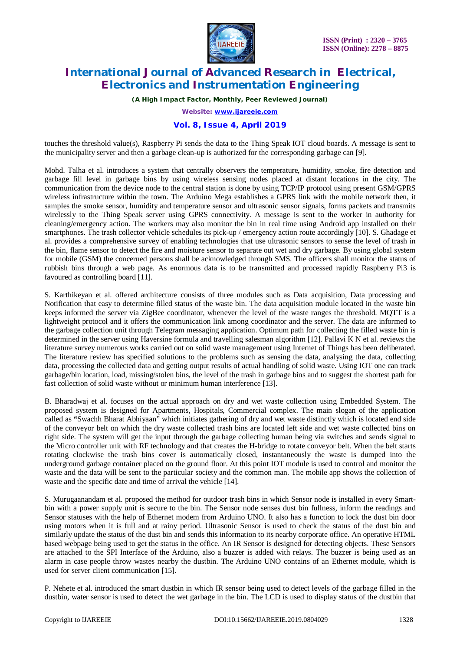

*(A High Impact Factor, Monthly, Peer Reviewed Journal)*

*Website: [www.ijareeie.com](http://www.ijareeie.com)*

### **Vol. 8, Issue 4, April 2019**

touches the threshold value(s), Raspberry Pi sends the data to the Thing Speak IOT cloud boards. A message is sent to the municipality server and then a garbage clean-up is authorized for the corresponding garbage can [9].

Mohd. Talha et al. introduces a system that centrally observers the temperature, humidity, smoke, fire detection and garbage fill level in garbage bins by using wireless sensing nodes placed at distant locations in the city. The communication from the device node to the central station is done by using TCP/IP protocol using present GSM/GPRS wireless infrastructure within the town. The Arduino Mega establishes a GPRS link with the mobile network then, it samples the smoke sensor, humidity and temperature sensor and ultrasonic sensor signals, forms packets and transmits wirelessly to the Thing Speak server using GPRS connectivity. A message is sent to the worker in authority for cleaning/emergency action. The workers may also monitor the bin in real time using Android app installed on their smartphones. The trash collector vehicle schedules its pick-up / emergency action route accordingly [10]. S. Ghadage et al. provides a comprehensive survey of enabling technologies that use ultrasonic sensors to sense the level of trash in the bin, flame sensor to detect the fire and moisture sensor to separate out wet and dry garbage. By using global system for mobile (GSM) the concerned persons shall be acknowledged through SMS. The officers shall monitor the status of rubbish bins through a web page. As enormous data is to be transmitted and processed rapidly Raspberry Pi3 is favoured as controlling board [11].

S. Karthikeyan et al. offered architecture consists of three modules such as Data acquisition, Data processing and Notification that easy to determine filled status of the waste bin. The data acquisition module located in the waste bin keeps informed the server via ZigBee coordinator, whenever the level of the waste ranges the threshold. MQTT is a lightweight protocol and it offers the communication link among coordinator and the server. The data are informed to the garbage collection unit through Telegram messaging application. Optimum path for collecting the filled waste bin is determined in the server using Haversine formula and travelling salesman algorithm [12]. Pallavi K N et al. reviews the literature survey numerous works carried out on solid waste management using Internet of Things has been deliberated. The literature review has specified solutions to the problems such as sensing the data, analysing the data, collecting data, processing the collected data and getting output results of actual handling of solid waste. Using IOT one can track garbage/bin location, load, missing/stolen bins, the level of the trash in garbage bins and to suggest the shortest path for fast collection of solid waste without or minimum human interference [13].

B. Bharadwaj et al. focuses on the actual approach on dry and wet waste collection using Embedded System. The proposed system is designed for Apartments, Hospitals, Commercial complex. The main slogan of the application called as **"**Swachh Bharat Abhiyaan" which initiates gathering of dry and wet waste distinctly which is located end side of the conveyor belt on which the dry waste collected trash bins are located left side and wet waste collected bins on right side. The system will get the input through the garbage collecting human being via switches and sends signal to the Micro controller unit with RF technology and that creates the H-bridge to rotate conveyor belt. When the belt starts rotating clockwise the trash bins cover is automatically closed, instantaneously the waste is dumped into the underground garbage container placed on the ground floor. At this point IOT module is used to control and monitor the waste and the data will be sent to the particular society and the common man. The mobile app shows the collection of waste and the specific date and time of arrival the vehicle [14].

S. Murugaanandam et al. proposed the method for outdoor trash bins in which Sensor node is installed in every Smartbin with a power supply unit is secure to the bin. The Sensor node senses dust bin fullness, inform the readings and Sensor statuses with the help of Ethernet modem from Arduino UNO. It also has a function to lock the dust bin door using motors when it is full and at rainy period. Ultrasonic Sensor is used to check the status of the dust bin and similarly update the status of the dust bin and sends this information to its nearby corporate office. An operative HTML based webpage being used to get the status in the office. An IR Sensor is designed for detecting objects. These Sensors are attached to the SPI Interface of the Arduino, also a buzzer is added with relays. The buzzer is being used as an alarm in case people throw wastes nearby the dustbin. The Arduino UNO contains of an Ethernet module, which is used for server client communication [15].

P. Nehete et al. introduced the smart dustbin in which IR sensor being used to detect levels of the garbage filled in the dustbin, water sensor is used to detect the wet garbage in the bin. The LCD is used to display status of the dustbin that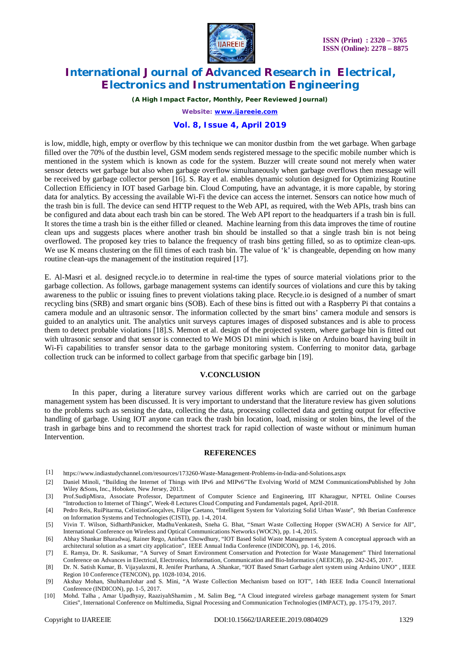

*(A High Impact Factor, Monthly, Peer Reviewed Journal)*

*Website: [www.ijareeie.com](http://www.ijareeie.com)*

### **Vol. 8, Issue 4, April 2019**

is low, middle, high, empty or overflow by this technique we can monitor dustbin from the wet garbage. When garbage filled over the 70% of the dustbin level, GSM modem sends registered message to the specific mobile number which is mentioned in the system which is known as code for the system. Buzzer will create sound not merely when water sensor detects wet garbage but also when garbage overflow simultaneously when garbage overflows then message will be received by garbage collector person [16]. S. Ray et al. enables dynamic solution designed for Optimizing Routine Collection Efficiency in IOT based Garbage bin. Cloud Computing, have an advantage, it is more capable, by storing data for analytics. By accessing the available Wi-Fi the device can access the internet. Sensors can notice how much of the trash bin is full. The device can send HTTP request to the Web API, as required, with the Web APIs, trash bins can be configured and data about each trash bin can be stored. The Web API report to the headquarters if a trash bin is full. It stores the time a trash bin is the either filled or cleaned. Machine learning from this data improves the time of routine clean ups and suggests places where another trash bin should be installed so that a single trash bin is not being overflowed. The proposed key tries to balance the frequency of trash bins getting filled, so as to optimize clean-ups. We use K means clustering on the fill times of each trash bin. The value of 'k' is changeable, depending on how many routine clean-ups the management of the institution required [17].

E. Al-Masri et al. designed recycle.io to determine in real-time the types of source material violations prior to the garbage collection. As follows, garbage management systems can identify sources of violations and cure this by taking awareness to the public or issuing fines to prevent violations taking place. Recycle.io is designed of a number of smart recycling bins (SRB) and smart organic bins (SOB). Each of these bins is fitted out with a Raspberry Pi that contains a camera module and an ultrasonic sensor. The information collected by the smart bins' camera module and sensors is guided to an analytics unit. The analytics unit surveys captures images of disposed substances and is able to process them to detect probable violations [18].S. Memon et al. design of the projected system, where garbage bin is fitted out with ultrasonic sensor and that sensor is connected to We MOS D1 mini which is like on Arduino board having built in Wi-Fi capabilities to transfer sensor data to the garbage monitoring system. Conferring to monitor data, garbage collection truck can be informed to collect garbage from that specific garbage bin [19].

#### **V.CONCLUSION**

In this paper, during a literature survey various different works which are carried out on the garbage management system has been discussed. It is very important to understand that the literature review has given solutions to the problems such as sensing the data, collecting the data, processing collected data and getting output for effective handling of garbage. Using IOT anyone can track the trash bin location, load, missing or stolen bins, the level of the trash in garbage bins and to recommend the shortest track for rapid collection of waste without or minimum human Intervention.

#### **REFERENCES**

- [1] <https://www.indiastudychannel.com/resources/173260-Waste-Management-Problems-in-India-and-Solutions.aspx>
- [2] Daniel Minoli, "Building the Internet of Things with IPv6 and MIPv6"The Evolving World of M2M CommunicationsPublished by John Wiley &Sons, Inc., Hoboken, New Jersey, 2013.
- [3] Prof.SudipMisra, Associate Professor, Department of Computer Science and Engineering, IIT Kharagpur, NPTEL Online Courses "Introduction to Internet of Things", Week-8 Lectures Cloud Computing and Fundamentals page4, April-2018.
- [4] Pedro Reis, RuiPitarma, CelistinoGonçalves, Filipe Caetano, "Intelligent System for Valorizing Solid Urban Waste", 9th Iberian Conference on Information Systems and Technologies (CISTI), pp. 1-4, 2014.
- [5] Vivin T. Wilson, SidharthPanicker, MadhuVenkatesh, Sneha G. Bhat, "Smart Waste Collecting Hopper (SWACH) A Service for All", International Conference on Wireless and Optical Communications Networks (WOCN), pp. 1-4, 2015.
- [6] Abhay Shankar Bharadwaj, Rainer Rego, Anirban Chowdhury, "IOT Based Solid Waste Management System A conceptual approach with an architectural solution as a smart city application", IEEE Annual India Conference (INDICON), pp. 1-6, 2016.
- [7] E. Ramya, Dr. R. Sasikumar, "A Survey of Smart Environment Conservation and Protection for Waste Management" Third International Conference on Advances in Electrical, Electronics, Information, Communication and Bio-Informatics (AEEICB), pp. 242-245, 2017.
- [8] Dr. N. Satish Kumar, B. Vijayalaxmi, R. Jenifer Prarthana, A .Shankar, "IOT Based Smart Garbage alert system using Arduino UNO" , IEEE Region 10 Conference (TENCON), pp. 1028-1034, 2016.
- [9] Akshay Mohan, ShubhamJohar and S. Mini, "A Waste Collection Mechanism based on IOT", 14th IEEE India Council International Conference (INDICON), pp. 1-5, 2017.
- [10] Mohd. Talha , Amar Upadhyay, RaaziyahShamim , M. Salim Beg, "A Cloud integrated wireless garbage management system for Smart Cities", International Conference on Multimedia, Signal Processing and Communication Technologies (IMPACT), pp. 175-179, 2017.